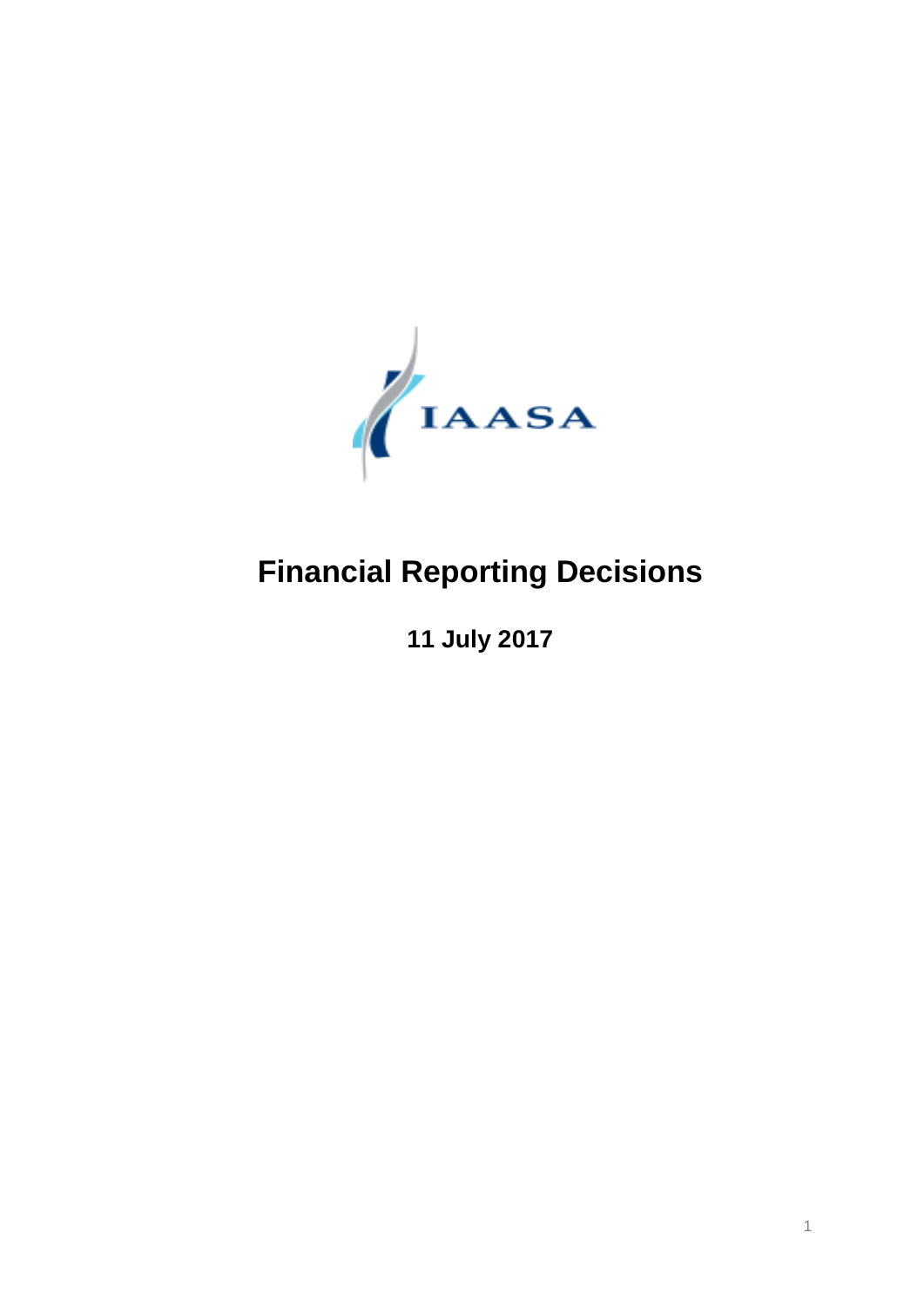

# **Financial Reporting Decisions**

**July 2017**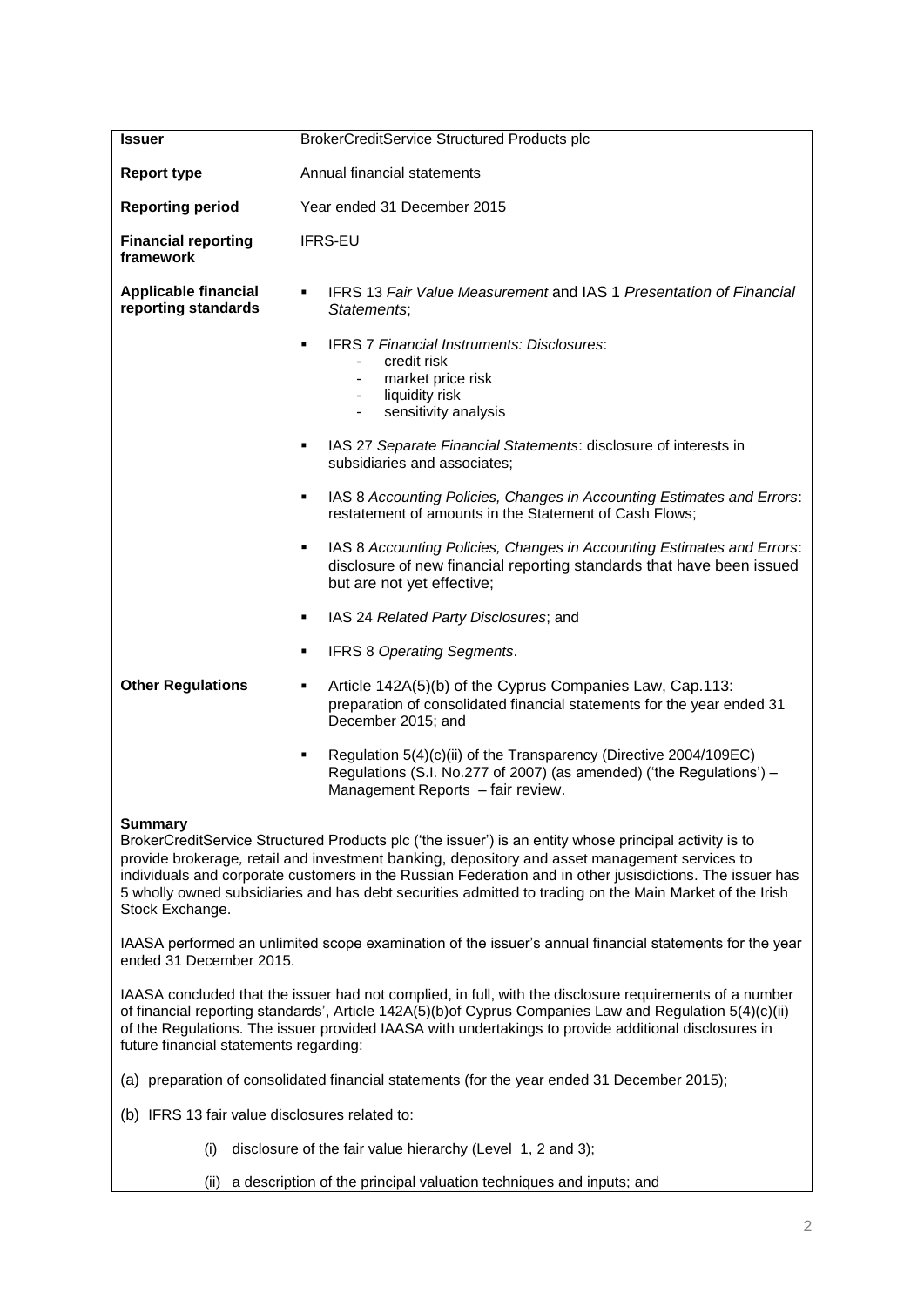| <b>Issuer</b>                                                                                                                                                                                                                                                                                                                                                                                                                                                       | BrokerCreditService Structured Products plc                                                                                                                                        |  |  |
|---------------------------------------------------------------------------------------------------------------------------------------------------------------------------------------------------------------------------------------------------------------------------------------------------------------------------------------------------------------------------------------------------------------------------------------------------------------------|------------------------------------------------------------------------------------------------------------------------------------------------------------------------------------|--|--|
| <b>Report type</b>                                                                                                                                                                                                                                                                                                                                                                                                                                                  | Annual financial statements                                                                                                                                                        |  |  |
| <b>Reporting period</b>                                                                                                                                                                                                                                                                                                                                                                                                                                             | Year ended 31 December 2015                                                                                                                                                        |  |  |
| <b>Financial reporting</b><br>framework                                                                                                                                                                                                                                                                                                                                                                                                                             | <b>IFRS-EU</b>                                                                                                                                                                     |  |  |
| <b>Applicable financial</b><br>reporting standards                                                                                                                                                                                                                                                                                                                                                                                                                  | IFRS 13 Fair Value Measurement and IAS 1 Presentation of Financial<br>Statements;                                                                                                  |  |  |
|                                                                                                                                                                                                                                                                                                                                                                                                                                                                     | <b>IFRS 7 Financial Instruments: Disclosures:</b><br>credit risk<br>market price risk<br>$\overline{\phantom{a}}$<br>liquidity risk<br>sensitivity analysis                        |  |  |
|                                                                                                                                                                                                                                                                                                                                                                                                                                                                     | IAS 27 Separate Financial Statements: disclosure of interests in<br>subsidiaries and associates;                                                                                   |  |  |
|                                                                                                                                                                                                                                                                                                                                                                                                                                                                     | IAS 8 Accounting Policies, Changes in Accounting Estimates and Errors:<br>٠<br>restatement of amounts in the Statement of Cash Flows;                                              |  |  |
|                                                                                                                                                                                                                                                                                                                                                                                                                                                                     | IAS 8 Accounting Policies, Changes in Accounting Estimates and Errors:<br>٠<br>disclosure of new financial reporting standards that have been issued<br>but are not yet effective; |  |  |
|                                                                                                                                                                                                                                                                                                                                                                                                                                                                     | IAS 24 Related Party Disclosures; and<br>٠                                                                                                                                         |  |  |
|                                                                                                                                                                                                                                                                                                                                                                                                                                                                     | <b>IFRS 8 Operating Segments.</b>                                                                                                                                                  |  |  |
| <b>Other Regulations</b>                                                                                                                                                                                                                                                                                                                                                                                                                                            | Article 142A(5)(b) of the Cyprus Companies Law, Cap.113:<br>٠<br>preparation of consolidated financial statements for the year ended 31<br>December 2015; and                      |  |  |
|                                                                                                                                                                                                                                                                                                                                                                                                                                                                     | Regulation 5(4)(c)(ii) of the Transparency (Directive 2004/109EC)<br>Regulations (S.I. No.277 of 2007) (as amended) ('the Regulations') -<br>Management Reports - fair review.     |  |  |
| <b>Summary</b><br>BrokerCreditService Structured Products plc ('the issuer') is an entity whose principal activity is to<br>provide brokerage, retail and investment banking, depository and asset management services to<br>individuals and corporate customers in the Russian Federation and in other jusisdictions. The issuer has<br>5 wholly owned subsidiaries and has debt securities admitted to trading on the Main Market of the Irish<br>Stock Exchange. |                                                                                                                                                                                    |  |  |
| IAASA performed an unlimited scope examination of the issuer's annual financial statements for the year<br>ended 31 December 2015.                                                                                                                                                                                                                                                                                                                                  |                                                                                                                                                                                    |  |  |
| IAASA concluded that the issuer had not complied, in full, with the disclosure requirements of a number<br>of financial reporting standards', Article 142A(5)(b)of Cyprus Companies Law and Regulation 5(4)(c)(ii)<br>of the Regulations. The issuer provided IAASA with undertakings to provide additional disclosures in<br>future financial statements regarding:                                                                                                |                                                                                                                                                                                    |  |  |
| (a) preparation of consolidated financial statements (for the year ended 31 December 2015);                                                                                                                                                                                                                                                                                                                                                                         |                                                                                                                                                                                    |  |  |
| (b) IFRS 13 fair value disclosures related to:                                                                                                                                                                                                                                                                                                                                                                                                                      |                                                                                                                                                                                    |  |  |
| disclosure of the fair value hierarchy (Level 1, 2 and 3);<br>(i)                                                                                                                                                                                                                                                                                                                                                                                                   |                                                                                                                                                                                    |  |  |
| a description of the principal valuation techniques and inputs; and<br>(ii)                                                                                                                                                                                                                                                                                                                                                                                         |                                                                                                                                                                                    |  |  |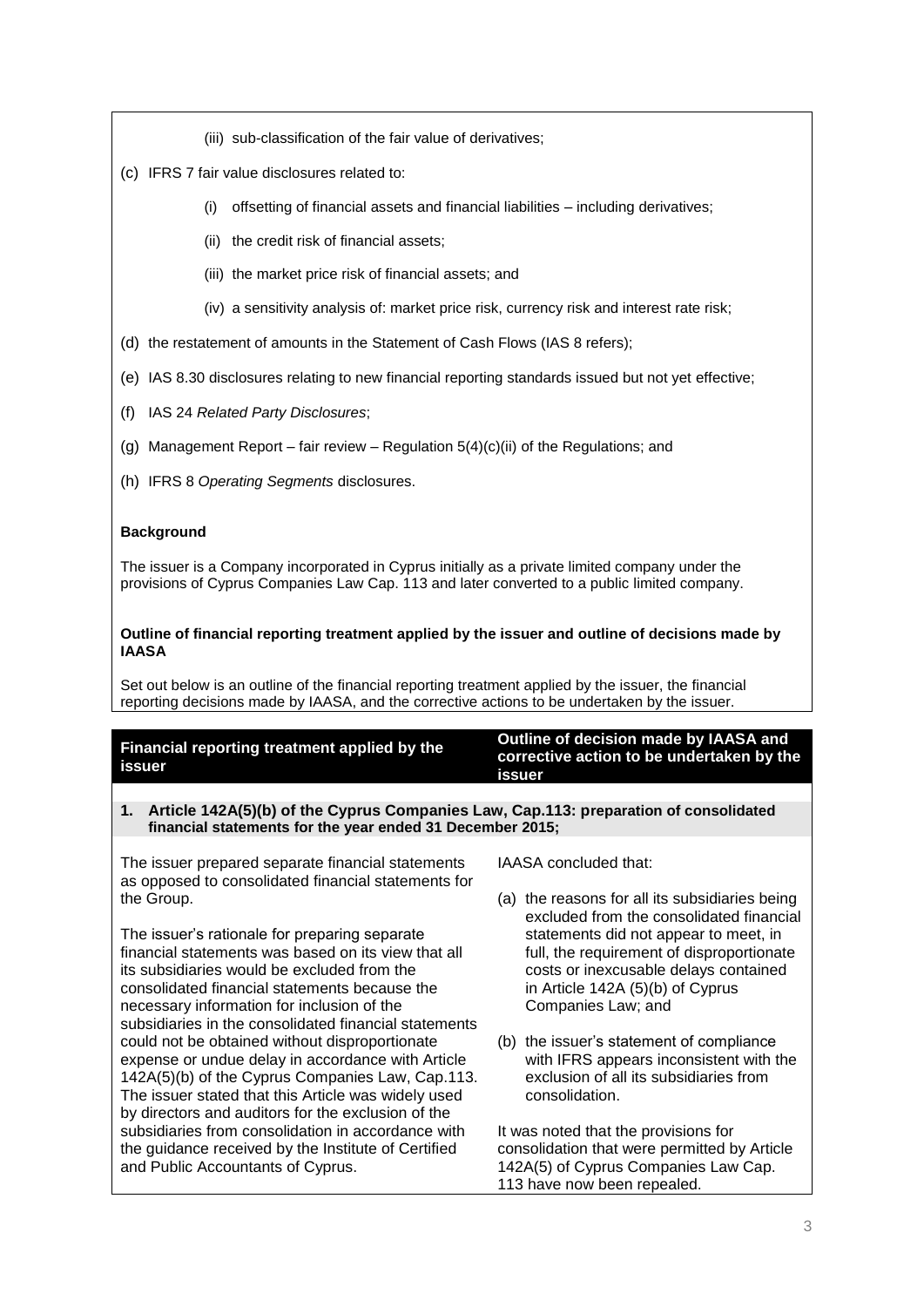- (iii) sub-classification of the fair value of derivatives;
- (c) IFRS 7 fair value disclosures related to:
	- (i) offsetting of financial assets and financial liabilities including derivatives;
	- (ii) the credit risk of financial assets;
	- (iii) the market price risk of financial assets; and
	- (iv) a sensitivity analysis of: market price risk, currency risk and interest rate risk;
- (d) the restatement of amounts in the Statement of Cash Flows (IAS 8 refers);
- (e) IAS 8.30 disclosures relating to new financial reporting standards issued but not yet effective;
- (f) IAS 24 *Related Party Disclosures*;
- (g) Management Report fair review Regulation  $5(4)(c)(ii)$  of the Regulations; and
- (h) IFRS 8 *Operating Segments* disclosures.

# **Background**

The issuer is a Company incorporated in Cyprus initially as a private limited company under the provisions of Cyprus Companies Law Cap. 113 and later converted to a public limited company.

# **Outline of financial reporting treatment applied by the issuer and outline of decisions made by IAASA**

Set out below is an outline of the financial reporting treatment applied by the issuer, the financial reporting decisions made by IAASA, and the corrective actions to be undertaken by the issuer.

| Financial reporting treatment applied by the |  |
|----------------------------------------------|--|
| issuer                                       |  |

### **Outline of decision made by IAASA and corrective action to be undertaken by the issuer**

# **1. Article 142A(5)(b) of the Cyprus Companies Law, Cap.113: preparation of consolidated financial statements for the year ended 31 December 2015;**

The issuer prepared separate financial statements as opposed to consolidated financial statements for the Group.

The issuer's rationale for preparing separate financial statements was based on its view that all its subsidiaries would be excluded from the consolidated financial statements because the necessary information for inclusion of the subsidiaries in the consolidated financial statements could not be obtained without disproportionate expense or undue delay in accordance with Article 142A(5)(b) of the Cyprus Companies Law, Cap.113. The issuer stated that this Article was widely used by directors and auditors for the exclusion of the subsidiaries from consolidation in accordance with the guidance received by the Institute of Certified and Public Accountants of Cyprus.

IAASA concluded that:

- (a) the reasons for all its subsidiaries being excluded from the consolidated financial statements did not appear to meet, in full, the requirement of disproportionate costs or inexcusable delays contained in Article 142A (5)(b) of Cyprus Companies Law; and
- (b) the issuer's statement of compliance with IFRS appears inconsistent with the exclusion of all its subsidiaries from consolidation.

It was noted that the provisions for consolidation that were permitted by Article 142A(5) of Cyprus Companies Law Cap. 113 have now been repealed.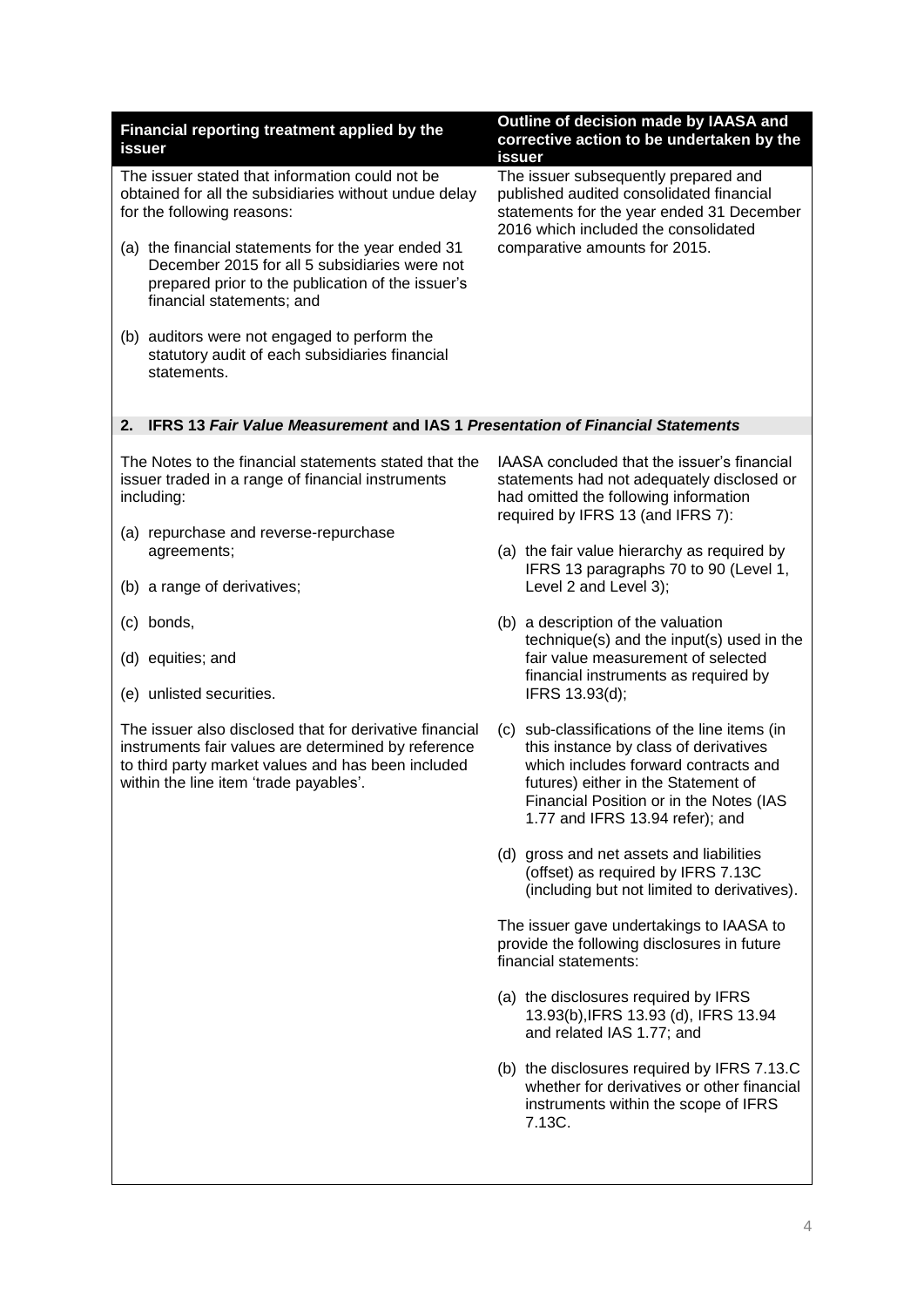| Financial reporting treatment applied by the<br>issuer                                                                                                                                | Outline of decision made by IAASA and<br>corrective action to be undertaken by the<br>issuer                                                                                                       |  |  |
|---------------------------------------------------------------------------------------------------------------------------------------------------------------------------------------|----------------------------------------------------------------------------------------------------------------------------------------------------------------------------------------------------|--|--|
| The issuer stated that information could not be<br>obtained for all the subsidiaries without undue delay<br>for the following reasons:                                                | The issuer subsequently prepared and<br>published audited consolidated financial<br>statements for the year ended 31 December<br>2016 which included the consolidated                              |  |  |
| (a) the financial statements for the year ended 31<br>December 2015 for all 5 subsidiaries were not<br>prepared prior to the publication of the issuer's<br>financial statements; and | comparative amounts for 2015.                                                                                                                                                                      |  |  |
| (b) auditors were not engaged to perform the<br>statutory audit of each subsidiaries financial<br>statements.                                                                         |                                                                                                                                                                                                    |  |  |
| <b>IFRS 13 Fair Value Measurement and IAS 1 Presentation of Financial Statements</b><br>2.                                                                                            |                                                                                                                                                                                                    |  |  |
| The Notes to the financial statements stated that the<br>issuer traded in a range of financial instruments<br>including:                                                              | IAASA concluded that the issuer's financial<br>statements had not adequately disclosed or<br>had omitted the following information<br>required by IFRS 13 (and IFRS 7):                            |  |  |
| (a) repurchase and reverse-repurchase<br>agreements;                                                                                                                                  | (a) the fair value hierarchy as required by                                                                                                                                                        |  |  |
| (b) a range of derivatives;                                                                                                                                                           | IFRS 13 paragraphs 70 to 90 (Level 1,<br>Level 2 and Level 3);                                                                                                                                     |  |  |
| (c) bonds,                                                                                                                                                                            | (b) a description of the valuation<br>technique(s) and the input(s) used in the                                                                                                                    |  |  |
| (d) equities; and<br>(e) unlisted securities.                                                                                                                                         | fair value measurement of selected<br>financial instruments as required by<br>IFRS 13.93(d);                                                                                                       |  |  |
| The issuer also disclosed that for derivative financial                                                                                                                               | (c) sub-classifications of the line items (in                                                                                                                                                      |  |  |
| instruments fair values are determined by reference<br>to third party market values and has been included<br>within the line item 'trade payables'.                                   | this instance by class of derivatives<br>which includes forward contracts and<br>futures) either in the Statement of<br>Financial Position or in the Notes (IAS<br>1.77 and IFRS 13.94 refer); and |  |  |
|                                                                                                                                                                                       | (d) gross and net assets and liabilities<br>(offset) as required by IFRS 7.13C<br>(including but not limited to derivatives).                                                                      |  |  |
|                                                                                                                                                                                       | The issuer gave undertakings to IAASA to<br>provide the following disclosures in future<br>financial statements:                                                                                   |  |  |
|                                                                                                                                                                                       | (a) the disclosures required by IFRS<br>13.93(b), IFRS 13.93 (d), IFRS 13.94<br>and related IAS 1.77; and                                                                                          |  |  |
|                                                                                                                                                                                       | (b) the disclosures required by IFRS 7.13.C<br>whether for derivatives or other financial<br>instruments within the scope of IFRS<br>7.13C.                                                        |  |  |
|                                                                                                                                                                                       |                                                                                                                                                                                                    |  |  |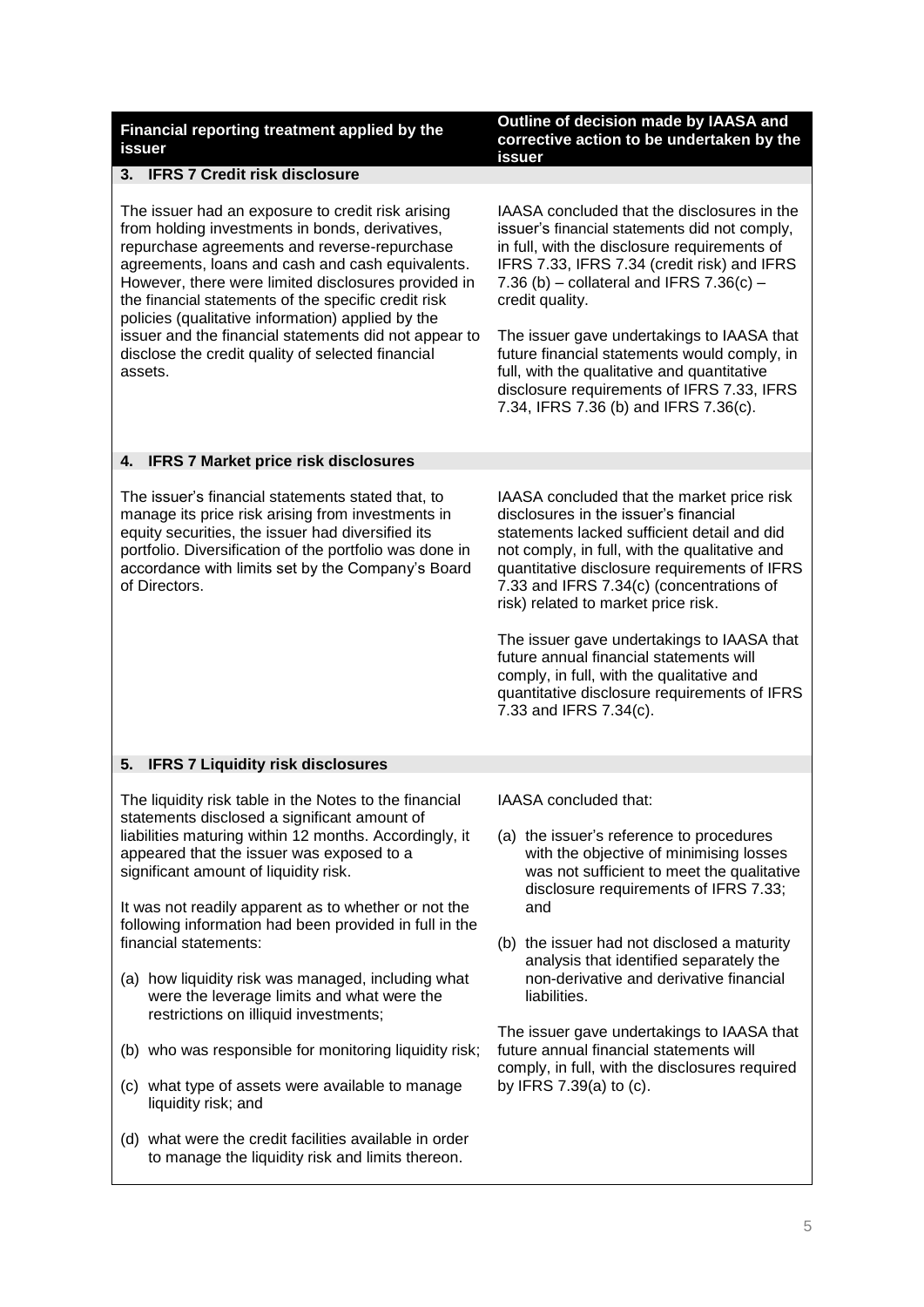| Financial reporting treatment applied by the |  |  |
|----------------------------------------------|--|--|
| issuer                                       |  |  |

#### **Outline of decision made by IAASA and corrective action to be undertaken by the issuer**

#### **3. IFRS 7 Credit risk disclosure**

The issuer had an exposure to credit risk arising from holding investments in bonds, derivatives, repurchase agreements and reverse-repurchase agreements, loans and cash and cash equivalents. However, there were limited disclosures provided in the financial statements of the specific credit risk policies (qualitative information) applied by the issuer and the financial statements did not appear to disclose the credit quality of selected financial assets.

IAASA concluded that the disclosures in the issuer's financial statements did not comply, in full, with the disclosure requirements of IFRS 7.33, IFRS 7.34 (credit risk) and IFRS 7.36 (b) – collateral and IFRS  $7.36(c)$  – credit quality.

The issuer gave undertakings to IAASA that future financial statements would comply, in full, with the qualitative and quantitative disclosure requirements of IFRS 7.33, IFRS 7.34, IFRS 7.36 (b) and IFRS 7.36(c).

# **4. IFRS 7 Market price risk disclosures**

The issuer's financial statements stated that, to manage its price risk arising from investments in equity securities, the issuer had diversified its portfolio. Diversification of the portfolio was done in accordance with limits set by the Company's Board of Directors.

IAASA concluded that the market price risk disclosures in the issuer's financial statements lacked sufficient detail and did not comply, in full, with the qualitative and quantitative disclosure requirements of IFRS 7.33 and IFRS 7.34(c) (concentrations of risk) related to market price risk.

The issuer gave undertakings to IAASA that future annual financial statements will comply, in full, with the qualitative and quantitative disclosure requirements of IFRS 7.33 and IFRS 7.34(c).

# **5. IFRS 7 Liquidity risk disclosures**

The liquidity risk table in the Notes to the financial statements disclosed a significant amount of liabilities maturing within 12 months. Accordingly, it appeared that the issuer was exposed to a significant amount of liquidity risk.

It was not readily apparent as to whether or not the following information had been provided in full in the financial statements:

- (a) how liquidity risk was managed, including what were the leverage limits and what were the restrictions on illiquid investments;
- (b) who was responsible for monitoring liquidity risk;
- (c) what type of assets were available to manage liquidity risk; and
- (d) what were the credit facilities available in order to manage the liquidity risk and limits thereon.

IAASA concluded that:

- (a) the issuer's reference to procedures with the objective of minimising losses was not sufficient to meet the qualitative disclosure requirements of IFRS 7.33; and
- (b) the issuer had not disclosed a maturity analysis that identified separately the non-derivative and derivative financial liabilities.

The issuer gave undertakings to IAASA that future annual financial statements will comply, in full, with the disclosures required by IFRS 7.39(a) to (c).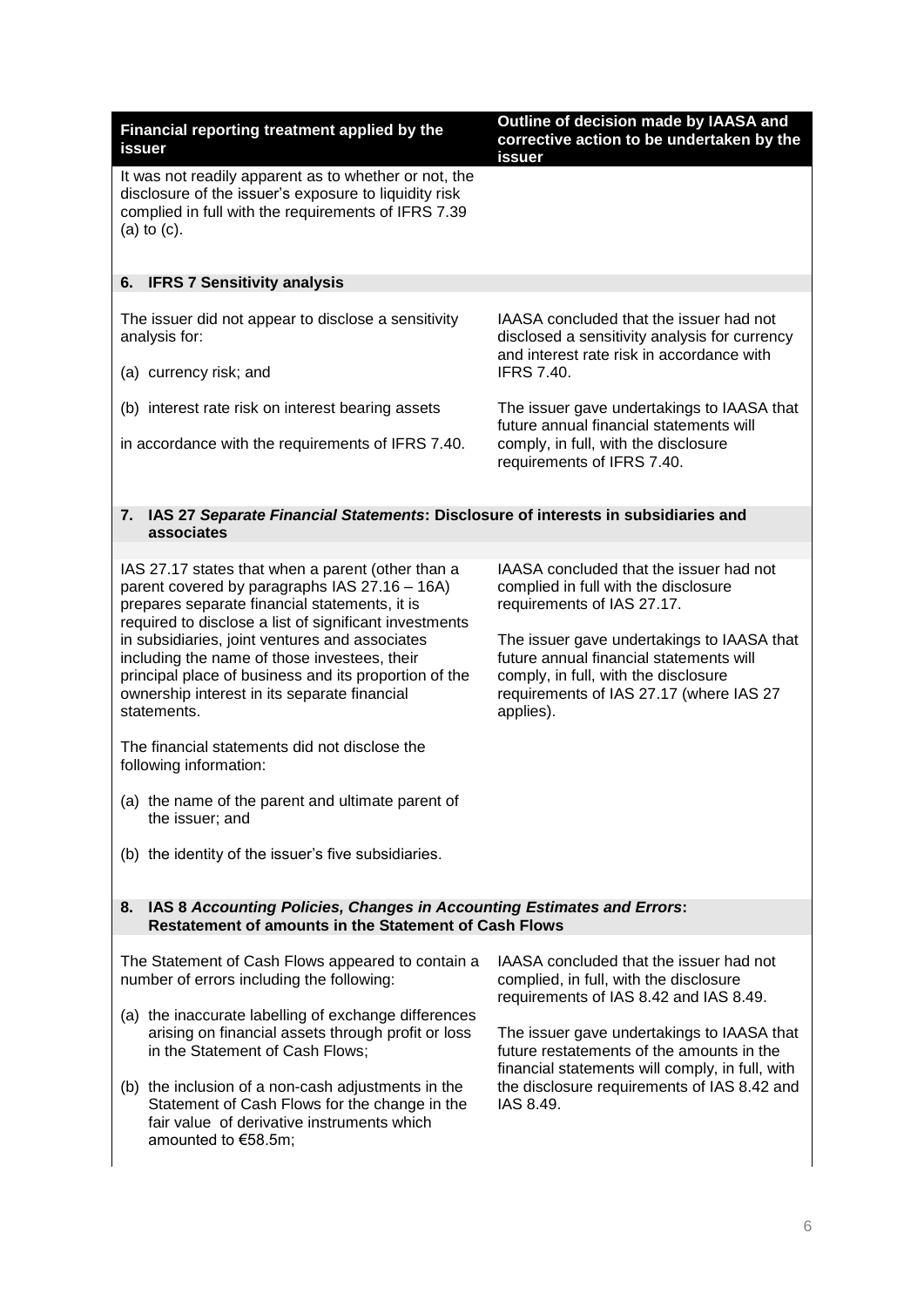| Financial reporting treatment applied by the<br>issuer                                                                                                                                                                                                                                                                                                                                                                                                                                                                                                                                                                                                                                                                            | Outline of decision made by IAASA and<br>corrective action to be undertaken by the<br>issuer                                                                                                                                                                                                                                          |
|-----------------------------------------------------------------------------------------------------------------------------------------------------------------------------------------------------------------------------------------------------------------------------------------------------------------------------------------------------------------------------------------------------------------------------------------------------------------------------------------------------------------------------------------------------------------------------------------------------------------------------------------------------------------------------------------------------------------------------------|---------------------------------------------------------------------------------------------------------------------------------------------------------------------------------------------------------------------------------------------------------------------------------------------------------------------------------------|
| It was not readily apparent as to whether or not, the<br>disclosure of the issuer's exposure to liquidity risk<br>complied in full with the requirements of IFRS 7.39<br>(a) to $(c)$ .                                                                                                                                                                                                                                                                                                                                                                                                                                                                                                                                           |                                                                                                                                                                                                                                                                                                                                       |
| <b>IFRS 7 Sensitivity analysis</b><br>6.                                                                                                                                                                                                                                                                                                                                                                                                                                                                                                                                                                                                                                                                                          |                                                                                                                                                                                                                                                                                                                                       |
| The issuer did not appear to disclose a sensitivity<br>analysis for:<br>(a) currency risk; and                                                                                                                                                                                                                                                                                                                                                                                                                                                                                                                                                                                                                                    | IAASA concluded that the issuer had not<br>disclosed a sensitivity analysis for currency<br>and interest rate risk in accordance with<br><b>IFRS 7.40.</b>                                                                                                                                                                            |
| (b) interest rate risk on interest bearing assets                                                                                                                                                                                                                                                                                                                                                                                                                                                                                                                                                                                                                                                                                 | The issuer gave undertakings to IAASA that                                                                                                                                                                                                                                                                                            |
| in accordance with the requirements of IFRS 7.40.                                                                                                                                                                                                                                                                                                                                                                                                                                                                                                                                                                                                                                                                                 | future annual financial statements will<br>comply, in full, with the disclosure<br>requirements of IFRS 7.40.                                                                                                                                                                                                                         |
| IAS 27 Separate Financial Statements: Disclosure of interests in subsidiaries and<br>7.<br>associates                                                                                                                                                                                                                                                                                                                                                                                                                                                                                                                                                                                                                             |                                                                                                                                                                                                                                                                                                                                       |
| IAS 27.17 states that when a parent (other than a<br>parent covered by paragraphs IAS 27.16 - 16A)<br>prepares separate financial statements, it is<br>required to disclose a list of significant investments<br>in subsidiaries, joint ventures and associates<br>including the name of those investees, their<br>principal place of business and its proportion of the<br>ownership interest in its separate financial<br>statements.<br>The financial statements did not disclose the<br>following information:<br>(a) the name of the parent and ultimate parent of<br>the issuer; and<br>(b) the identity of the issuer's five subsidiaries.<br>IAS 8 Accounting Policies, Changes in Accounting Estimates and Errors:<br>8. | IAASA concluded that the issuer had not<br>complied in full with the disclosure<br>requirements of IAS 27.17.<br>The issuer gave undertakings to IAASA that<br>future annual financial statements will<br>comply, in full, with the disclosure<br>requirements of IAS 27.17 (where IAS 27<br>applies).                                |
| <b>Restatement of amounts in the Statement of Cash Flows</b>                                                                                                                                                                                                                                                                                                                                                                                                                                                                                                                                                                                                                                                                      |                                                                                                                                                                                                                                                                                                                                       |
| The Statement of Cash Flows appeared to contain a<br>number of errors including the following:<br>(a) the inaccurate labelling of exchange differences<br>arising on financial assets through profit or loss<br>in the Statement of Cash Flows;<br>(b) the inclusion of a non-cash adjustments in the<br>Statement of Cash Flows for the change in the<br>fair value of derivative instruments which<br>amounted to €58.5m;                                                                                                                                                                                                                                                                                                       | IAASA concluded that the issuer had not<br>complied, in full, with the disclosure<br>requirements of IAS 8.42 and IAS 8.49.<br>The issuer gave undertakings to IAASA that<br>future restatements of the amounts in the<br>financial statements will comply, in full, with<br>the disclosure requirements of IAS 8.42 and<br>IAS 8.49. |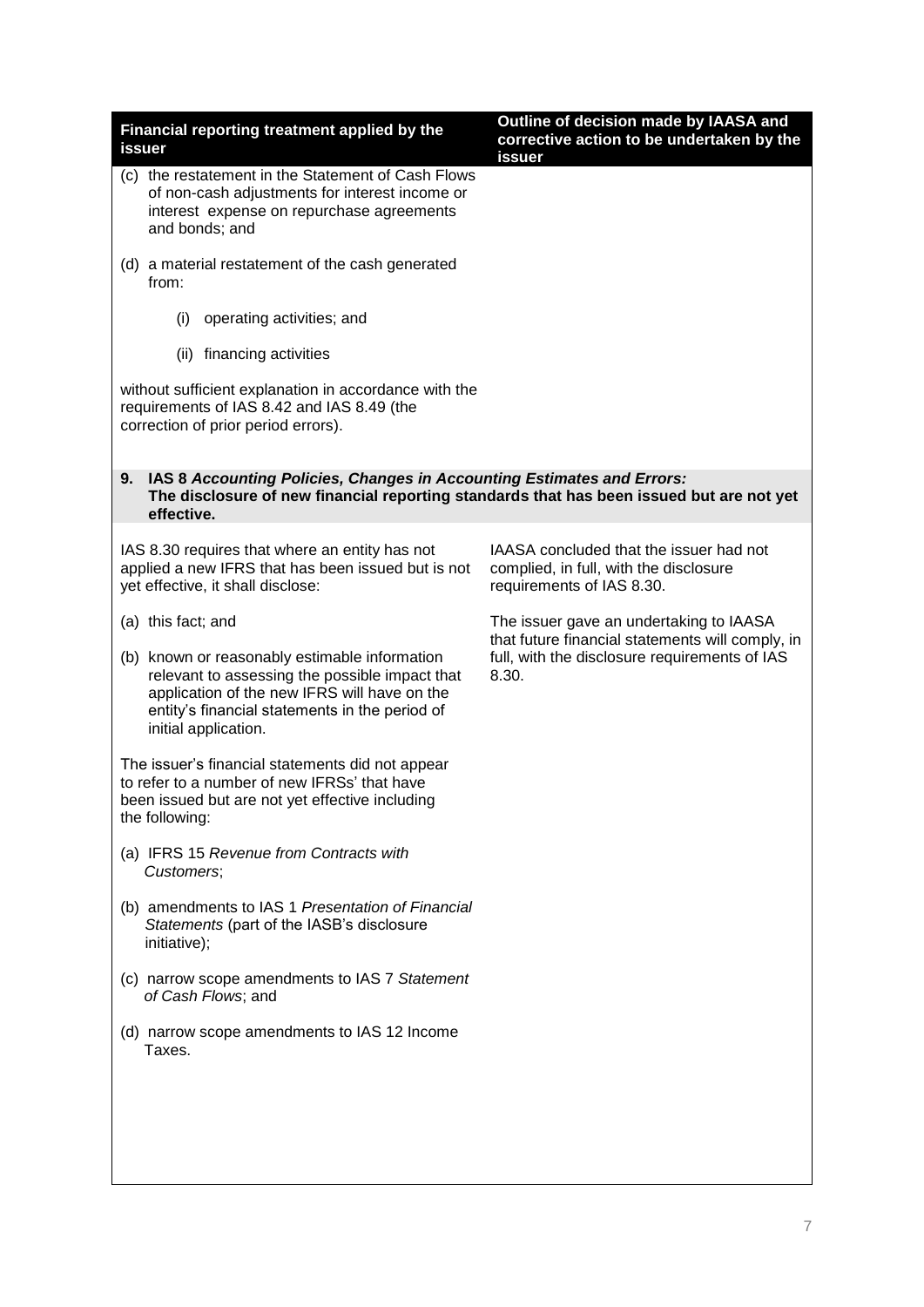| Financial reporting treatment applied by the<br>issuer                                                                                                                                                                    | Outline of decision made by IAASA and<br>corrective action to be undertaken by the<br>issuer                   |
|---------------------------------------------------------------------------------------------------------------------------------------------------------------------------------------------------------------------------|----------------------------------------------------------------------------------------------------------------|
| (c) the restatement in the Statement of Cash Flows<br>of non-cash adjustments for interest income or<br>interest expense on repurchase agreements<br>and bonds; and                                                       |                                                                                                                |
| (d) a material restatement of the cash generated<br>from:                                                                                                                                                                 |                                                                                                                |
| operating activities; and<br>(i)                                                                                                                                                                                          |                                                                                                                |
| (ii) financing activities                                                                                                                                                                                                 |                                                                                                                |
| without sufficient explanation in accordance with the<br>requirements of IAS 8.42 and IAS 8.49 (the<br>correction of prior period errors).                                                                                |                                                                                                                |
| 9. IAS 8 Accounting Policies, Changes in Accounting Estimates and Errors:<br>The disclosure of new financial reporting standards that has been issued but are not yet<br>effective.                                       |                                                                                                                |
| IAS 8.30 requires that where an entity has not<br>applied a new IFRS that has been issued but is not<br>yet effective, it shall disclose:                                                                                 | IAASA concluded that the issuer had not<br>complied, in full, with the disclosure<br>requirements of IAS 8.30. |
| (a) this fact; and                                                                                                                                                                                                        | The issuer gave an undertaking to IAASA                                                                        |
| (b) known or reasonably estimable information<br>relevant to assessing the possible impact that<br>application of the new IFRS will have on the<br>entity's financial statements in the period of<br>initial application. | that future financial statements will comply, in<br>full, with the disclosure requirements of IAS<br>8.30.     |
| The issuer's financial statements did not appear<br>to refer to a number of new IFRSs' that have<br>been issued but are not yet effective including<br>the following:                                                     |                                                                                                                |
| (a) IFRS 15 Revenue from Contracts with<br>Customers;                                                                                                                                                                     |                                                                                                                |
| (b) amendments to IAS 1 Presentation of Financial<br>Statements (part of the IASB's disclosure<br>initiative);                                                                                                            |                                                                                                                |
| (c) narrow scope amendments to IAS 7 Statement<br>of Cash Flows; and                                                                                                                                                      |                                                                                                                |
| (d) narrow scope amendments to IAS 12 Income<br>Taxes.                                                                                                                                                                    |                                                                                                                |
|                                                                                                                                                                                                                           |                                                                                                                |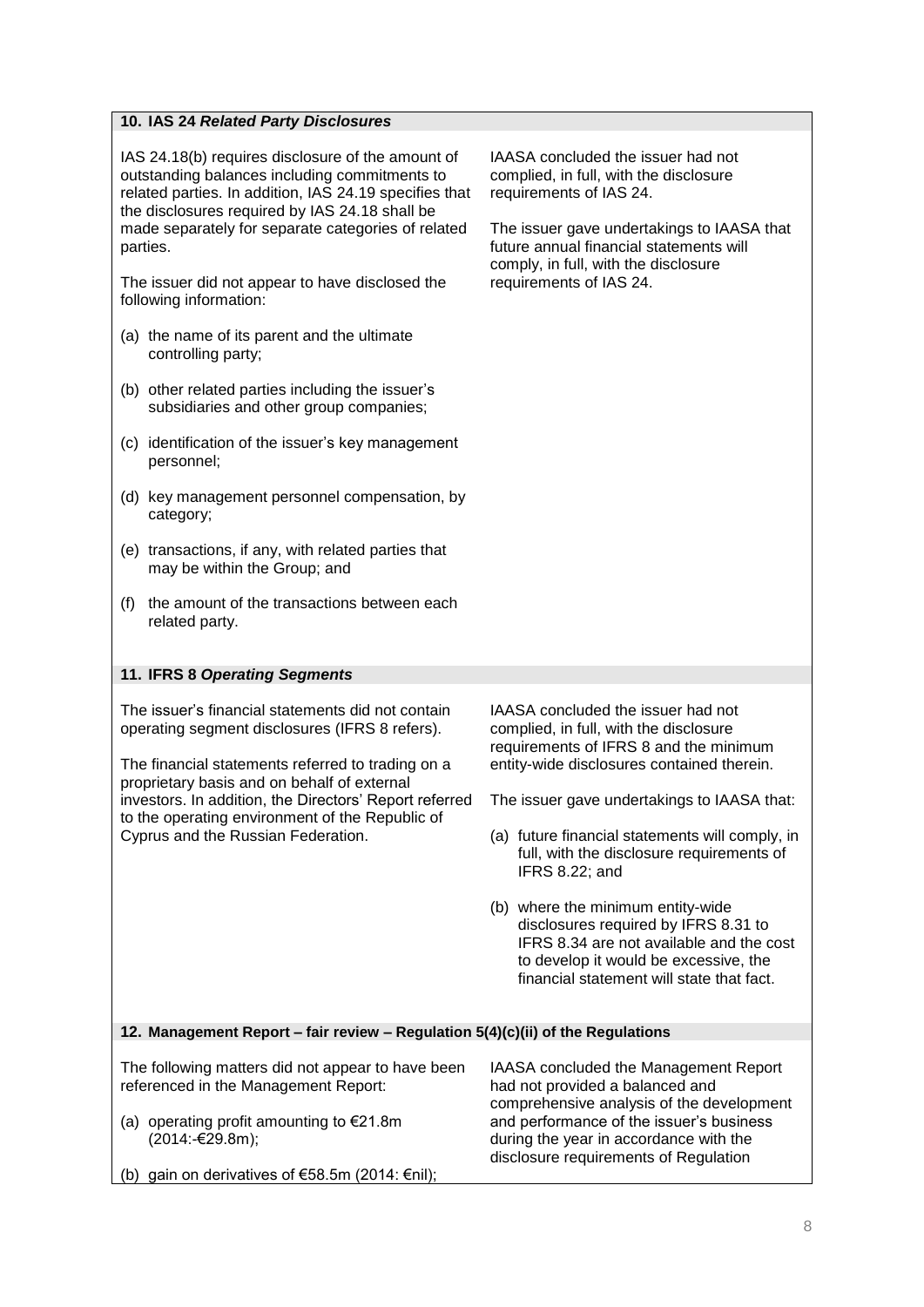# **10. IAS 24** *Related Party Disclosures*

IAS 24.18(b) requires disclosure of the amount of outstanding balances including commitments to related parties. In addition, IAS 24.19 specifies that the disclosures required by IAS 24.18 shall be made separately for separate categories of related parties.

The issuer did not appear to have disclosed the following information:

- (a) the name of its parent and the ultimate controlling party;
- (b) other related parties including the issuer's subsidiaries and other group companies;
- (c) identification of the issuer's key management personnel;
- (d) key management personnel compensation, by category;
- (e) transactions, if any, with related parties that may be within the Group; and
- (f) the amount of the transactions between each related party.

# **11. IFRS 8** *Operating Segments*

The issuer's financial statements did not contain operating segment disclosures (IFRS 8 refers).

The financial statements referred to trading on a proprietary basis and on behalf of external investors. In addition, the Directors' Report referred to the operating environment of the Republic of Cyprus and the Russian Federation.

IAASA concluded the issuer had not complied, in full, with the disclosure requirements of IAS 24.

The issuer gave undertakings to IAASA that future annual financial statements will comply, in full, with the disclosure requirements of IAS 24.

IAASA concluded the issuer had not complied, in full, with the disclosure requirements of IFRS 8 and the minimum entity-wide disclosures contained therein.

The issuer gave undertakings to IAASA that:

- (a) future financial statements will comply, in full, with the disclosure requirements of IFRS 8.22; and
- (b) where the minimum entity-wide disclosures required by IFRS 8.31 to IFRS 8.34 are not available and the cost to develop it would be excessive, the financial statement will state that fact.

# **12. Management Report – fair review – Regulation 5(4)(c)(ii) of the Regulations**

The following matters did not appear to have been referenced in the Management Report: (a) operating profit amounting to  $E$ 21.8m  $(2014; -€29.8m)$ ; (b) gain on derivatives of €58.5m (2014:  $€nil$ ); IAASA concluded the Management Report had not provided a balanced and comprehensive analysis of the development and performance of the issuer's business during the year in accordance with the disclosure requirements of Regulation